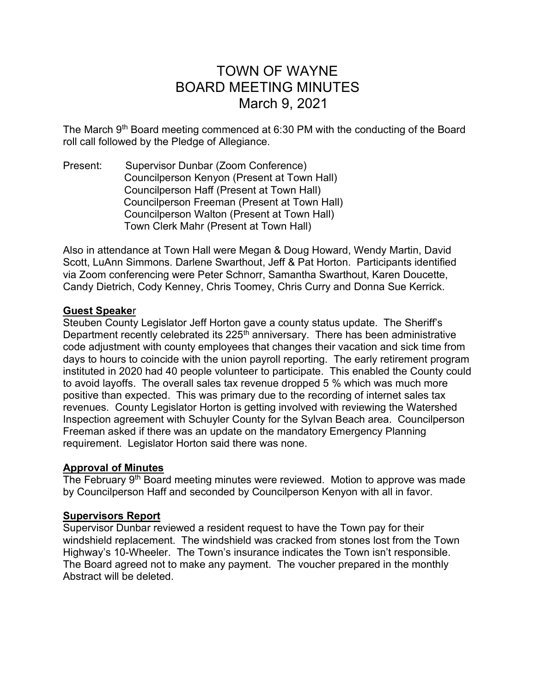# TOWN OF WAYNE BOARD MEETING MINUTES March 9, 2021

The March  $9<sup>th</sup>$  Board meeting commenced at 6:30 PM with the conducting of the Board roll call followed by the Pledge of Allegiance.

Present: Supervisor Dunbar (Zoom Conference) Councilperson Kenyon (Present at Town Hall) Councilperson Haff (Present at Town Hall) Councilperson Freeman (Present at Town Hall) Councilperson Walton (Present at Town Hall) Town Clerk Mahr (Present at Town Hall)

Also in attendance at Town Hall were Megan & Doug Howard, Wendy Martin, David Scott, LuAnn Simmons. Darlene Swarthout, Jeff & Pat Horton. Participants identified via Zoom conferencing were Peter Schnorr, Samantha Swarthout, Karen Doucette, Candy Dietrich, Cody Kenney, Chris Toomey, Chris Curry and Donna Sue Kerrick.

## Guest Speaker

Steuben County Legislator Jeff Horton gave a county status update. The Sheriff's Department recently celebrated its  $225<sup>th</sup>$  anniversary. There has been administrative code adjustment with county employees that changes their vacation and sick time from days to hours to coincide with the union payroll reporting. The early retirement program instituted in 2020 had 40 people volunteer to participate. This enabled the County could to avoid layoffs. The overall sales tax revenue dropped 5 % which was much more positive than expected. This was primary due to the recording of internet sales tax revenues. County Legislator Horton is getting involved with reviewing the Watershed Inspection agreement with Schuyler County for the Sylvan Beach area. Councilperson Freeman asked if there was an update on the mandatory Emergency Planning requirement. Legislator Horton said there was none.

## Approval of Minutes

The February 9<sup>th</sup> Board meeting minutes were reviewed. Motion to approve was made by Councilperson Haff and seconded by Councilperson Kenyon with all in favor.

## Supervisors Report

Supervisor Dunbar reviewed a resident request to have the Town pay for their windshield replacement. The windshield was cracked from stones lost from the Town Highway's 10-Wheeler. The Town's insurance indicates the Town isn't responsible. The Board agreed not to make any payment. The voucher prepared in the monthly Abstract will be deleted.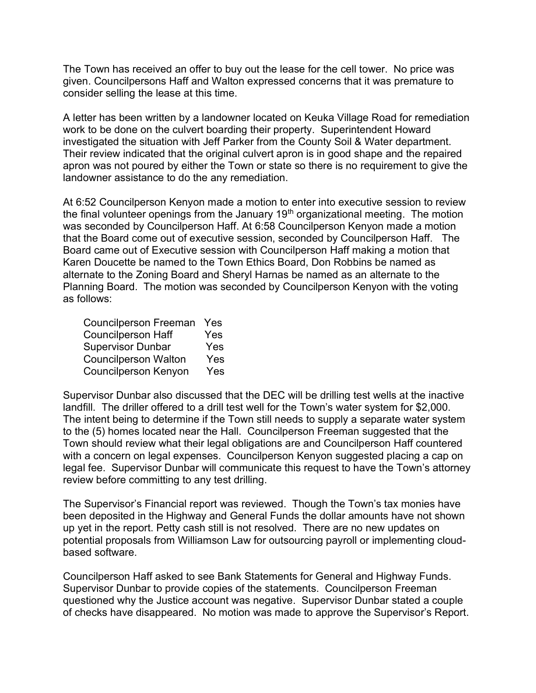The Town has received an offer to buy out the lease for the cell tower. No price was given. Councilpersons Haff and Walton expressed concerns that it was premature to consider selling the lease at this time.

A letter has been written by a landowner located on Keuka Village Road for remediation work to be done on the culvert boarding their property. Superintendent Howard investigated the situation with Jeff Parker from the County Soil & Water department. Their review indicated that the original culvert apron is in good shape and the repaired apron was not poured by either the Town or state so there is no requirement to give the landowner assistance to do the any remediation.

At 6:52 Councilperson Kenyon made a motion to enter into executive session to review the final volunteer openings from the January 19<sup>th</sup> organizational meeting. The motion was seconded by Councilperson Haff. At 6:58 Councilperson Kenyon made a motion that the Board come out of executive session, seconded by Councilperson Haff. The Board came out of Executive session with Councilperson Haff making a motion that Karen Doucette be named to the Town Ethics Board, Don Robbins be named as alternate to the Zoning Board and Sheryl Harnas be named as an alternate to the Planning Board. The motion was seconded by Councilperson Kenyon with the voting as follows:

| <b>Councilperson Freeman</b> | Yes |
|------------------------------|-----|
| <b>Councilperson Haff</b>    | Yes |
| <b>Supervisor Dunbar</b>     | Yes |
| <b>Councilperson Walton</b>  | Yes |
| <b>Councilperson Kenyon</b>  | Yes |

Supervisor Dunbar also discussed that the DEC will be drilling test wells at the inactive landfill. The driller offered to a drill test well for the Town's water system for \$2,000. The intent being to determine if the Town still needs to supply a separate water system to the (5) homes located near the Hall. Councilperson Freeman suggested that the Town should review what their legal obligations are and Councilperson Haff countered with a concern on legal expenses. Councilperson Kenyon suggested placing a cap on legal fee. Supervisor Dunbar will communicate this request to have the Town's attorney review before committing to any test drilling.

The Supervisor's Financial report was reviewed. Though the Town's tax monies have been deposited in the Highway and General Funds the dollar amounts have not shown up yet in the report. Petty cash still is not resolved. There are no new updates on potential proposals from Williamson Law for outsourcing payroll or implementing cloudbased software.

Councilperson Haff asked to see Bank Statements for General and Highway Funds. Supervisor Dunbar to provide copies of the statements. Councilperson Freeman questioned why the Justice account was negative. Supervisor Dunbar stated a couple of checks have disappeared. No motion was made to approve the Supervisor's Report.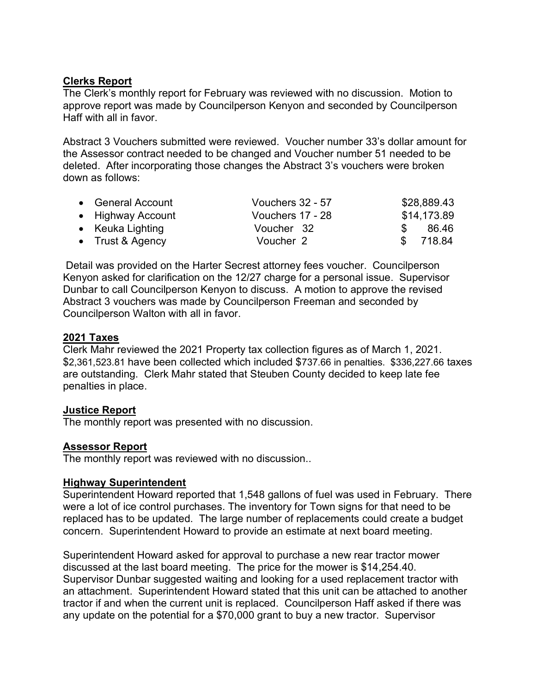# Clerks Report

The Clerk's monthly report for February was reviewed with no discussion. Motion to approve report was made by Councilperson Kenyon and seconded by Councilperson Haff with all in favor.

Abstract 3 Vouchers submitted were reviewed. Voucher number 33's dollar amount for the Assessor contract needed to be changed and Voucher number 51 needed to be deleted. After incorporating those changes the Abstract 3's vouchers were broken down as follows:

| • General Account | Vouchers 32 - 57 |               | \$28,889.43 |
|-------------------|------------------|---------------|-------------|
| • Highway Account | Vouchers 17 - 28 |               | \$14,173.89 |
| • Keuka Lighting  | Voucher 32       |               | 86.46       |
| • Trust & Agency  | Voucher 2        | $\mathcal{F}$ | 718.84      |

 Detail was provided on the Harter Secrest attorney fees voucher. Councilperson Kenyon asked for clarification on the 12/27 charge for a personal issue. Supervisor Dunbar to call Councilperson Kenyon to discuss. A motion to approve the revised Abstract 3 vouchers was made by Councilperson Freeman and seconded by Councilperson Walton with all in favor.

## 2021 Taxes

Clerk Mahr reviewed the 2021 Property tax collection figures as of March 1, 2021. \$2,361,523.81 have been collected which included \$737.66 in penalties. \$336,227.66 taxes are outstanding. Clerk Mahr stated that Steuben County decided to keep late fee penalties in place.

## Justice Report

The monthly report was presented with no discussion.

## Assessor Report

The monthly report was reviewed with no discussion..

#### Highway Superintendent

Superintendent Howard reported that 1,548 gallons of fuel was used in February. There were a lot of ice control purchases. The inventory for Town signs for that need to be replaced has to be updated. The large number of replacements could create a budget concern. Superintendent Howard to provide an estimate at next board meeting.

Superintendent Howard asked for approval to purchase a new rear tractor mower discussed at the last board meeting. The price for the mower is \$14,254.40. Supervisor Dunbar suggested waiting and looking for a used replacement tractor with an attachment. Superintendent Howard stated that this unit can be attached to another tractor if and when the current unit is replaced. Councilperson Haff asked if there was any update on the potential for a \$70,000 grant to buy a new tractor. Supervisor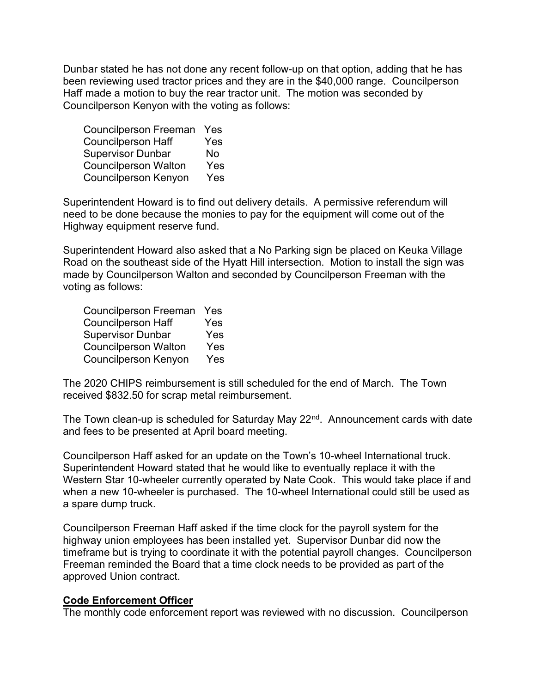Dunbar stated he has not done any recent follow-up on that option, adding that he has been reviewing used tractor prices and they are in the \$40,000 range. Councilperson Haff made a motion to buy the rear tractor unit. The motion was seconded by Councilperson Kenyon with the voting as follows:

 Councilperson Freeman Yes Councilperson Haff Yes Supervisor Dunbar No Councilperson Walton Yes Councilperson Kenyon Yes

Superintendent Howard is to find out delivery details. A permissive referendum will need to be done because the monies to pay for the equipment will come out of the Highway equipment reserve fund.

Superintendent Howard also asked that a No Parking sign be placed on Keuka Village Road on the southeast side of the Hyatt Hill intersection. Motion to install the sign was made by Councilperson Walton and seconded by Councilperson Freeman with the voting as follows:

 Councilperson Freeman Yes Councilperson Haff Yes Supervisor Dunbar Yes Councilperson Walton Yes Councilperson Kenyon Yes

The 2020 CHIPS reimbursement is still scheduled for the end of March. The Town received \$832.50 for scrap metal reimbursement.

The Town clean-up is scheduled for Saturday May 22<sup>nd</sup>. Announcement cards with date and fees to be presented at April board meeting.

Councilperson Haff asked for an update on the Town's 10-wheel International truck. Superintendent Howard stated that he would like to eventually replace it with the Western Star 10-wheeler currently operated by Nate Cook. This would take place if and when a new 10-wheeler is purchased. The 10-wheel International could still be used as a spare dump truck.

Councilperson Freeman Haff asked if the time clock for the payroll system for the highway union employees has been installed yet. Supervisor Dunbar did now the timeframe but is trying to coordinate it with the potential payroll changes. Councilperson Freeman reminded the Board that a time clock needs to be provided as part of the approved Union contract.

#### Code Enforcement Officer

The monthly code enforcement report was reviewed with no discussion. Councilperson